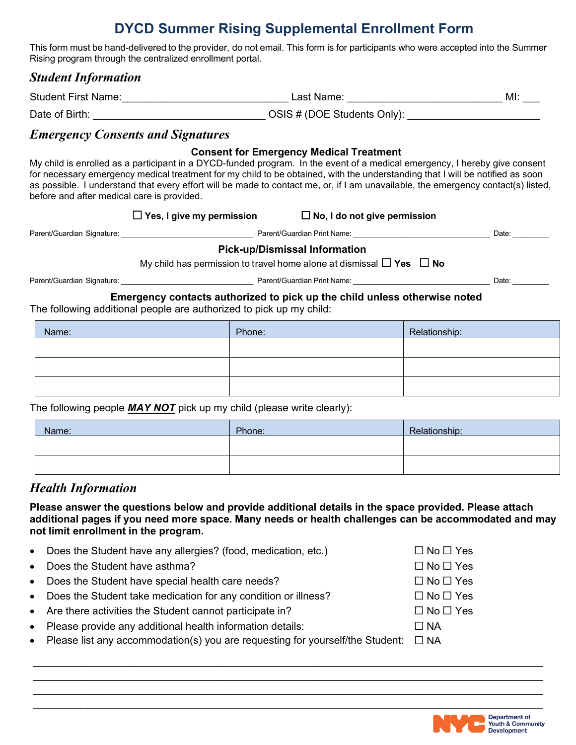# **DYCD Summer Rising Supplemental Enrollment Form**

This form must be hand-delivered to the provider, do not email. This form is for participants who were accepted into the Summer Rising program through the centralized enrollment portal.

### *Student Information*

Student First Name: The Contract of the Last Name: The Contract of the MI:  $\blacksquare$ 

|                | -----------                 | . |
|----------------|-----------------------------|---|
| Date of Birth: | OSIS # (DOE Students Only): |   |

### *Emergency Consents and Signatures*

#### **Consent for Emergency Medical Treatment**

My child is enrolled as a participant in a DYCD-funded program. In the event of a medical emergency, I hereby give consent for necessary emergency medical treatment for my child to be obtained, with the understanding that I will be notified as soon as possible. I understand that every effort will be made to contact me, or, if I am unavailable, the emergency contact(s) listed, before and after medical care is provided.

|                            | $\Box$ Yes, I give my permission |                             | $\Box$ No, I do not give permission |       |
|----------------------------|----------------------------------|-----------------------------|-------------------------------------|-------|
| Parent/Guardian Signature: |                                  | Parent/Guardian Print Name: |                                     | Date: |
|                            | ---                              |                             |                                     |       |

#### **Pick-up/Dismissal Information**

My child has permission to travel home alone at dismissal ☐ **Yes** ☐ **No** 

Parent/Guardian Signature: \_\_\_\_\_\_\_\_\_\_\_\_\_\_\_\_\_\_\_\_\_\_\_\_\_\_\_\_\_\_\_\_ Parent/Guardian Print Name: \_\_\_\_\_\_\_\_\_\_\_\_\_\_\_\_\_\_\_\_\_\_\_\_\_\_\_\_\_\_\_\_\_\_ Date: \_\_\_\_\_\_\_\_\_

#### **Emergency contacts authorized to pick up the child unless otherwise noted**

The following additional people are authorized to pick up my child:

| Name: | Phone: | Relationship: |
|-------|--------|---------------|
|       |        |               |
|       |        |               |
|       |        |               |

The following people *MAY NOT* pick up my child (please write clearly):

| Name: | Phone: | Relationship: |
|-------|--------|---------------|
|       |        |               |
|       |        |               |

### *Health Information*

**Please answer the questions below and provide additional details in the space provided. Please attach additional pages if you need more space. Many needs or health challenges can be accommodated and may not limit enrollment in the program.**

\_\_\_\_\_\_\_\_\_\_\_\_\_\_\_\_\_\_\_\_\_\_\_\_\_\_\_\_\_\_\_\_\_\_\_\_\_\_\_\_\_\_\_\_\_\_\_\_\_\_\_\_\_\_\_\_\_\_\_\_\_\_\_\_\_\_\_\_\_\_\_\_\_\_\_ \_\_\_\_\_\_\_\_\_\_\_\_\_\_\_\_\_\_\_\_\_\_\_\_\_\_\_\_\_\_\_\_\_\_\_\_\_\_\_\_\_\_\_\_\_\_\_\_\_\_\_\_\_\_\_\_\_\_\_\_\_\_\_\_\_\_\_\_\_\_\_\_\_\_\_

| $\bullet$ | Does the Student have any allergies? (food, medication, etc.)                 | $\Box$ No $\Box$ Yes |
|-----------|-------------------------------------------------------------------------------|----------------------|
| $\bullet$ | Does the Student have asthma?                                                 | $\Box$ No $\Box$ Yes |
| $\bullet$ | Does the Student have special health care needs?                              | $\Box$ No $\Box$ Yes |
| $\bullet$ | Does the Student take medication for any condition or illness?                | $\Box$ No $\Box$ Yes |
|           | • Are there activities the Student cannot participate in?                     | $\Box$ No $\Box$ Yes |
| $\bullet$ | Please provide any additional health information details:                     | $\Box$ NA            |
| $\bullet$ | Please list any accommodation(s) you are requesting for yourself/the Student: | $\Box$ NA            |
|           |                                                                               |                      |

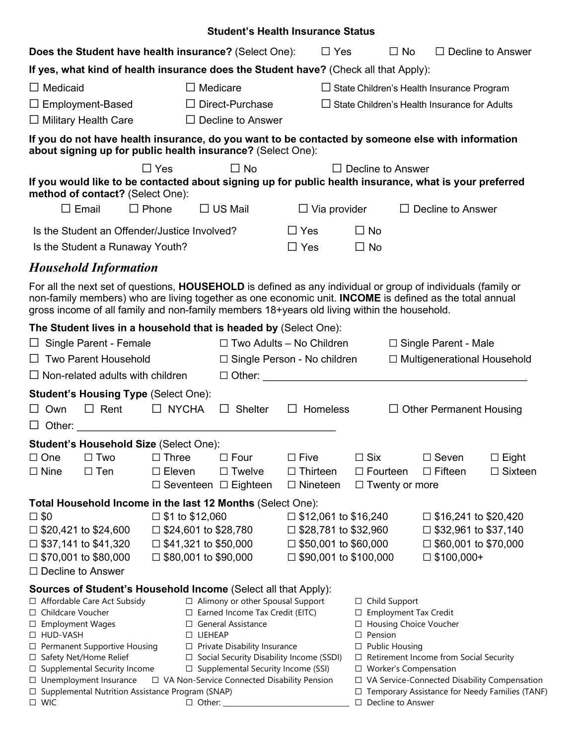|                                                            |                                                            |                                                                            | <b>Student's Health Insurance Status</b>                                                                                                                                                                                                                                                                               |                                                            |                                                        |                                                            |                                   |
|------------------------------------------------------------|------------------------------------------------------------|----------------------------------------------------------------------------|------------------------------------------------------------------------------------------------------------------------------------------------------------------------------------------------------------------------------------------------------------------------------------------------------------------------|------------------------------------------------------------|--------------------------------------------------------|------------------------------------------------------------|-----------------------------------|
|                                                            |                                                            |                                                                            | Does the Student have health insurance? (Select One):                                                                                                                                                                                                                                                                  | $\Box$ Yes                                                 | $\Box$ No                                              |                                                            | $\Box$ Decline to Answer          |
|                                                            |                                                            |                                                                            | If yes, what kind of health insurance does the Student have? (Check all that Apply):                                                                                                                                                                                                                                   |                                                            |                                                        |                                                            |                                   |
| $\Box$ Medicaid                                            |                                                            | $\Box$ Medicare                                                            |                                                                                                                                                                                                                                                                                                                        |                                                            |                                                        | $\Box$ State Children's Health Insurance Program           |                                   |
| $\Box$ Employment-Based                                    |                                                            |                                                                            | $\Box$ Direct-Purchase                                                                                                                                                                                                                                                                                                 |                                                            |                                                        | $\Box$ State Children's Health Insurance for Adults        |                                   |
| $\Box$ Military Health Care                                |                                                            |                                                                            | $\Box$ Decline to Answer                                                                                                                                                                                                                                                                                               |                                                            |                                                        |                                                            |                                   |
|                                                            |                                                            |                                                                            | If you do not have health insurance, do you want to be contacted by someone else with information<br>about signing up for public health insurance? (Select One):                                                                                                                                                       |                                                            |                                                        |                                                            |                                   |
|                                                            |                                                            | $\Box$ Yes                                                                 | $\Box$ No                                                                                                                                                                                                                                                                                                              |                                                            | $\Box$ Decline to Answer                               |                                                            |                                   |
|                                                            | method of contact? (Select One):                           |                                                                            | If you would like to be contacted about signing up for public health insurance, what is your preferred                                                                                                                                                                                                                 |                                                            |                                                        |                                                            |                                   |
| $\square$ Email                                            |                                                            | $\Box$ Phone                                                               | $\Box$ US Mail                                                                                                                                                                                                                                                                                                         | $\Box$ Via provider                                        |                                                        | $\Box$ Decline to Answer                                   |                                   |
|                                                            |                                                            | Is the Student an Offender/Justice Involved?                               |                                                                                                                                                                                                                                                                                                                        | $\Box$ Yes                                                 | $\Box$ No                                              |                                                            |                                   |
|                                                            | Is the Student a Runaway Youth?                            |                                                                            |                                                                                                                                                                                                                                                                                                                        | $\Box$ Yes                                                 | $\Box$ No                                              |                                                            |                                   |
|                                                            | <b>Household Information</b>                               |                                                                            |                                                                                                                                                                                                                                                                                                                        |                                                            |                                                        |                                                            |                                   |
|                                                            |                                                            |                                                                            | For all the next set of questions, HOUSEHOLD is defined as any individual or group of individuals (family or<br>non-family members) who are living together as one economic unit. INCOME is defined as the total annual<br>gross income of all family and non-family members 18+years old living within the household. |                                                            |                                                        |                                                            |                                   |
|                                                            |                                                            |                                                                            | The Student lives in a household that is headed by (Select One):                                                                                                                                                                                                                                                       |                                                            |                                                        |                                                            |                                   |
|                                                            | $\Box$ Single Parent - Female                              |                                                                            | $\Box$ Two Adults - No Children                                                                                                                                                                                                                                                                                        |                                                            | $\Box$ Single Parent - Male                            |                                                            |                                   |
|                                                            | □ Two Parent Household                                     |                                                                            | $\Box$ Single Person - No children                                                                                                                                                                                                                                                                                     |                                                            |                                                        | □ Multigenerational Household                              |                                   |
|                                                            | $\Box$ Non-related adults with children                    |                                                                            |                                                                                                                                                                                                                                                                                                                        | $\Box$ Other: $\Box$                                       |                                                        |                                                            |                                   |
| $\Box$ Own                                                 | <b>Student's Housing Type (Select One):</b><br>$\Box$ Rent | $\Box$ NYCHA                                                               | <b>Shelter</b><br>$\Box$                                                                                                                                                                                                                                                                                               | $\Box$ Homeless                                            |                                                        | $\Box$ Other Permanent Housing                             |                                   |
|                                                            |                                                            | Student's Household Size (Select One):                                     |                                                                                                                                                                                                                                                                                                                        |                                                            |                                                        |                                                            |                                   |
| $\Box$ One<br>$\Box$ Nine                                  | $\Box$ Two<br>$\Box$ Ten                                   | $\Box$ Three<br>$\Box$ Eleven<br>$\Box$ Seventeen $\Box$ Eighteen          | $\Box$ Four<br>$\Box$ Twelve                                                                                                                                                                                                                                                                                           | $\Box$ Five<br>$\Box$ Thirteen<br>$\Box$ Nineteen          | $\Box$ Six<br>$\Box$ Fourteen<br>$\Box$ Twenty or more | $\Box$ Seven<br>$\Box$ Fifteen                             | $\square$ Eight<br>$\Box$ Sixteen |
|                                                            |                                                            |                                                                            | Total Household Income in the last 12 Months (Select One):                                                                                                                                                                                                                                                             |                                                            |                                                        |                                                            |                                   |
| $\square$ \$0                                              |                                                            | $\Box$ \$1 to \$12,060                                                     |                                                                                                                                                                                                                                                                                                                        | $\Box$ \$12,061 to \$16,240                                |                                                        | $\Box$ \$16,241 to \$20,420                                |                                   |
| $\Box$ \$20,421 to \$24,600<br>$\Box$ \$37,141 to \$41,320 |                                                            | $\square$ \$24,601 to \$28,780<br>$\Box$ \$41,321 to \$50,000              |                                                                                                                                                                                                                                                                                                                        | $\Box$ \$28,781 to \$32,960<br>$\Box$ \$50,001 to \$60,000 |                                                        | $\Box$ \$32,961 to \$37,140<br>$\Box$ \$60,001 to \$70,000 |                                   |
| $\Box$ \$70,001 to \$80,000                                |                                                            | $\Box$ \$80,001 to \$90,000                                                |                                                                                                                                                                                                                                                                                                                        | $\Box$ \$90,001 to \$100,000                               |                                                        | $\square$ \$100,000+                                       |                                   |
| $\Box$ Decline to Answer                                   |                                                            |                                                                            |                                                                                                                                                                                                                                                                                                                        |                                                            |                                                        |                                                            |                                   |
|                                                            | □ Affordable Care Act Subsidy                              |                                                                            | Sources of Student's Household Income (Select all that Apply):<br>□ Alimony or other Spousal Support                                                                                                                                                                                                                   |                                                            | $\Box$ Child Support                                   |                                                            |                                   |
| □ Childcare Voucher                                        |                                                            |                                                                            | $\Box$ Earned Income Tax Credit (EITC)                                                                                                                                                                                                                                                                                 |                                                            | <b>Employment Tax Credit</b><br>□                      |                                                            |                                   |
| □ Employment Wages<br>□ HUD-VASH                           |                                                            | □ LIEHEAP                                                                  | □ General Assistance                                                                                                                                                                                                                                                                                                   |                                                            | □ Housing Choice Voucher<br>Pension<br>□               |                                                            |                                   |
|                                                            | □ Permanent Supportive Housing                             |                                                                            | $\Box$ Private Disability Insurance                                                                                                                                                                                                                                                                                    |                                                            | <b>Public Housing</b><br>□                             |                                                            |                                   |
| □ Safety Net/Home Relief                                   | □ Supplemental Security Income                             |                                                                            | □ Social Security Disability Income (SSDI)<br>□ Supplemental Security Income (SSI)                                                                                                                                                                                                                                     |                                                            | □ Worker's Compensation                                | □ Retirement Income from Social Security                   |                                   |
|                                                            | □ Unemployment Insurance                                   |                                                                            | □ VA Non-Service Connected Disability Pension                                                                                                                                                                                                                                                                          |                                                            |                                                        | □ VA Service-Connected Disability Compensation             |                                   |
| $\square$ WIC                                              |                                                            | □ Supplemental Nutrition Assistance Program (SNAP)<br>$\Box$ Other: $\_\_$ |                                                                                                                                                                                                                                                                                                                        |                                                            | □ Decline to Answer                                    | □ Temporary Assistance for Needy Families (TANF)           |                                   |